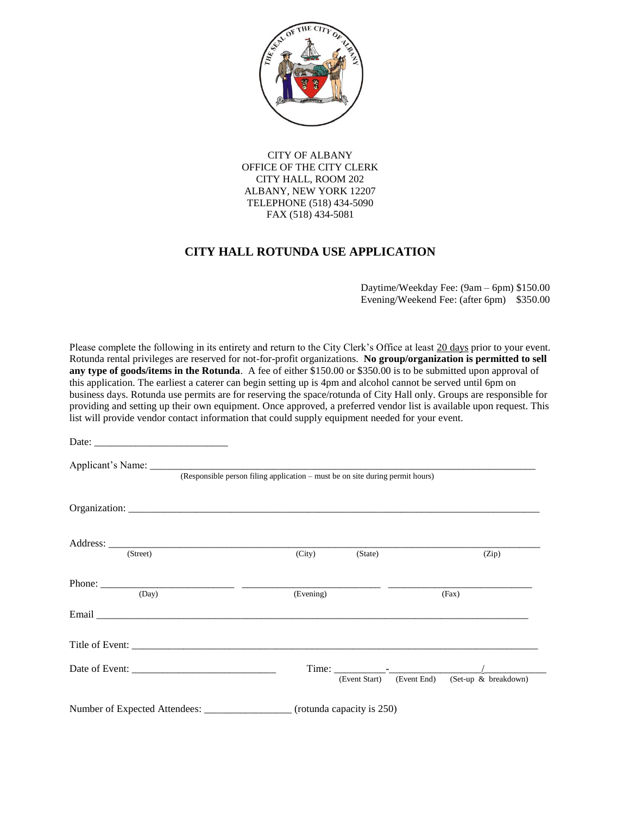

CITY OF ALBANY OFFICE OF THE CITY CLERK CITY HALL, ROOM 202 ALBANY, NEW YORK 12207 TELEPHONE (518) 434-5090 FAX (518) 434-5081

## **CITY HALL ROTUNDA USE APPLICATION**

 Daytime/Weekday Fee: (9am – 6pm) \$150.00 Evening/Weekend Fee: (after 6pm) \$350.00

Please complete the following in its entirety and return to the City Clerk's Office at least 20 days prior to your event. Rotunda rental privileges are reserved for not-for-profit organizations. **No group/organization is permitted to sell any type of goods/items in the Rotunda**. A fee of either \$150.00 or \$350.00 is to be submitted upon approval of this application. The earliest a caterer can begin setting up is 4pm and alcohol cannot be served until 6pm on business days. Rotunda use permits are for reserving the space/rotunda of City Hall only. Groups are responsible for providing and setting up their own equipment. Once approved, a preferred vendor list is available upon request. This list will provide vendor contact information that could supply equipment needed for your event.

| Date:                                                                         |                           |                                                |  |  |
|-------------------------------------------------------------------------------|---------------------------|------------------------------------------------|--|--|
| (Responsible person filing application – must be on site during permit hours) |                           |                                                |  |  |
|                                                                               |                           |                                                |  |  |
| (Street)                                                                      | (City)<br>(State)         | (Zip)                                          |  |  |
| (Day)                                                                         | (Evening)                 | (Fax)                                          |  |  |
|                                                                               |                           |                                                |  |  |
|                                                                               |                           |                                                |  |  |
|                                                                               |                           | (Event Start) (Event End) (Set-up & breakdown) |  |  |
|                                                                               | (rotunda capacity is 250) |                                                |  |  |